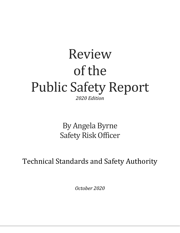# Review of the Public Safety Report *2020 Edition*

By Angela Byrne Safety Risk Officer

Technical Standards and Safety Authority

*October 2020*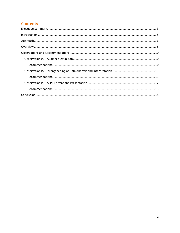## **Contents**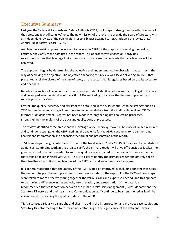# <span id="page-2-0"></span>Executive Summary

Last year the Technical Standards and Safety Authority (TSSA) took steps to strengthen the effectiveness of the Safety and Risk Officer (SRO) role. The new mission of the role is to provide the Board of Directors with an independent review of the public safety responsibilities assigned to TSSA, including the review of its' Annual Public Safety Report (ASPR).

An objective centric approach was used to review the ASPR for the purpose of assessing the quality, accuracy and clarity of the data used in the report. This approach was chosen as it provides recommendations that leverage limited resources to increase the certainty that an objective will be achieved.

The approach begins by determining the objective and understanding the obstacles that can get in the way of achieving the objective. The objective anchoring this review was TSSA delivering an ASPR that presented a reliable picture of the state of safety on the sectors that it regulates based on quality, accurate and clear data.

Based on the review of documents and discussions with staff I identified obstacles that could get in the way and developed an understanding of the action TSSA was taking to increase the chances of presenting a reliable picture of safety.

Overall, the quality, accuracy and clarity of the data used in the ASPR continues to be strengthened as TSSA has implemented changes in response to recommendations from the Auditor General and TSSA's Internal Audit department. Progress has been made in strengthening data collection processes, strengthening the analysis of the data and quality control processes.

The review identified three areas that will leverage work underway, make the best use of limited resources and continue to strengthen the ASPR; defining the audience for the ASPR, continuing to strengthen data analysis and interpretation and enhancing the format and presentation of the report.

TSSA took steps to align content and format of the fiscal year 2020 (FY20) ASPR to appeal to two distinct audiences. Continuing work in this area to clarify the primary reader will drive efficiencies as it takes the guess work out of what is needed to improve quality as determined by the reader. It is recommended that steps be taken in fiscal year 2021 (FY21) to clearly identify the primary reader and actively solicit their feedback to confirm the objective of the ASPR and audience needs are being met.

It is generally accepted that the quality of the ASPR would be improved by including content that helps the reader interpret the multiple numeric measures included in the report. For the FY20 edition, steps were taken to more effectively bring together the various skills and expertise needed, and this appears to be making a difference in the analysis, interpretation, and presentation of the data. It is recommended that collaboration between the Public Safety Risk Management (PSRM) department, the Statutory Directors and their teams and Communication staff continue to be strengthened as it will be instrumental in enriching the quality of data in the ASPR.

TSSA also uses various visual graphs and charts to aid in the interpretation and provides case studies and Statutory Director messages to foster an understanding of the significance of the data and several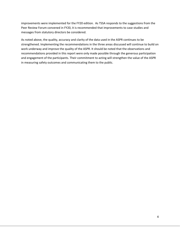improvements were implemented for the FY20 edition. As TSSA responds to the suggestions from the Peer Review Forum convened in FY20, it is recommended that improvements to case studies and messages from statutory directors be considered.

As noted above, the quality, accuracy and clarity of the data used in the ASPR continues to be strengthened. Implementing the recommendations in the three areas discussed will continue to build on work underway and improve the quality of the ASPR. It should be noted that the observations and recommendations provided in this report were only made possible through the generous participation and engagement of the participants. Their commitment to acting will strengthen the value of the ASPR in measuring safety outcomes and communicating them to the public.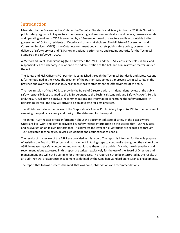## <span id="page-4-0"></span>Introduction

Mandated by the Government of Ontario, the Technical Standards and Safety Authority (TSSA) is Ontario's public safety regulator in key sectors: fuels; elevating and amusement devices; and boilers, pressure vessels and operating engineers. TSSA is governed by a 13-member board of directors and is accountable to the government of Ontario, residents of Ontario and other stakeholders. The Ministry of Government and Consumer Services (MGCS) is the Ontario government body that sets public safety policy, oversees the delivery of safety services and TSSA's organizational performance and retains authority for the Technical Standards and Safety Act, 2000.

A [Memorandum of Understanding](https://www.tssa.org/en/about-tssa/resources/MEMORANDUM-OF-UNDERSTANDING---October-2019.pdf) (MOU) between the MGCS and the TSSA clarifies the roles, duties, and responsibilities of each party in relation to the administration of the Act, and administrative matters under the Act.

The Safety and Risk Officer (SRO) position is established through the Technical Standards and Safety Act and is further outlined in the MOU. The creation of the position was aimed at improving technical safety in the province and over the last year TSSA has taken steps to strengthen the effectiveness of the role.

The new mission of the SRO is to provide the Board of Directors with an independent review of the public safety responsibilities assigned to the TSSA pursuant to the Technical Standards and Safety Act (Act). To this end, the SRO will furnish analysis, recommendations and information concerning the safety activities. In performing its role, the SRO will strive to be an advocate for best practices.

The SRO duties include the review of the Corporation's Annual Public Safety Report (ASPR) for the purpose of assessing the quality, accuracy and clarity of the data used for the report.

The annual ASPR relates critical information about the documented state of safety in the places where Ontarians live, work and play. It provides key safety related information on the sectors that TSSA regulates and its evaluation of its own performance. It estimates the level of risk Ontarians are exposed to through TSSA-regulated technologies, devices, equipment and certified trades people.

The results of my review of the ASPR are provided in this report. The report is intended for the sole purpose of assisting the Board of Directors and management in taking steps to continually strengthen the value of the ASPR in measuring safety outcomes and communicating them to the public. As such, the observations and recommendations expressed in this report are written exclusively for the use of the Board of Directors and management and will not be suitable for other purposes. The report is not to be interpreted as the results of an audit, review, or assurance engagement as defined by the Canadian Standard on Assurance Engagements.

The report that follows presents the work that was done, observations and recommendations.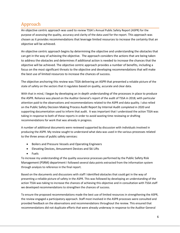# <span id="page-5-0"></span>Approach

An objective centric approach was used to review TSSA's Annual Public Safety Report (ASPR) for the purpose of assessing the quality, accuracy and clarity of the data used for the report. This approach was chosen as it provides recommendations that leverage limited resources to increase the certainty that an objective will be achieved.

An objective centric approach begins by determining the objective and understanding the obstacles that can get in the way of achieving the objective. The approach considers the actions that are being taken to address the obstacles and determines if additional action is needed to increase the chances that the objective will be achieved. The objective centric approach provides a number of benefits, including a focus on the most significant threats to the objective and developing recommendations that will make the best use of limited resources to increase the chances of success.

The objective anchoring this review was TSSA delivering an ASPR that presented a reliable picture of the state of safety on the sectors that it regulates based on quality, accurate and clear data.

With that in mind, I began by developing an in depth understanding of the processes in place to produce the ASPR. Reliance was placed on the Auditor General's report of the audit of TSSA in 2018; with particular attention paid to the observations and recommendations related to the ASPR and data quality. I also relied on the Public Safety Decision Making Process Audit Report by Internal Audit completed in 2020 and supporting documentation used to inform that audit. It was important that I understood the action TSSA was taking in response to both of these reports in order to avoid wasting time reviewing or drafting recommendations for work that was already in progress.

A number of additional documents were reviewed supported by discussion with individuals involved in producing the ASPR. My review sought to understand what data was used in the various processes related to the three areas of public safety services:

- Boilers and Pressure Vessels and Operating Engineers
- Elevating Devices, Amusement Devices and Ski Lifts
- Fuels

To increase my understanding of the quality assurance processes performed by the Public Safety Risk Management (PSRM) department I followed several data points extracted from the information system through analysis to reference in the final report.

Based on the documents and discussions with staff I identified obstacles that could get in the way of presenting a reliable picture of safety in the ASPR. This was followed by developing an understanding of the action TSSA was taking to increase the chances of achieving this objective and in consultation with TSSA staff we developed recommendations to strengthen the chances of success.

To ensure the proposed recommendations made the best use of limited resources in strengthening the ASPR, the review engaged a participatory approach. Staff most involved in the ASPR processes were consulted and provided feedback on the observations and recommendations throughout the review. This ensured that recommendations did not duplicate efforts that were already underway in response to the Auditor General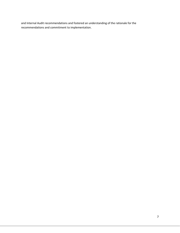and Internal Audit recommendations and fostered an understanding of the rationale for the recommendations and commitment to implementation.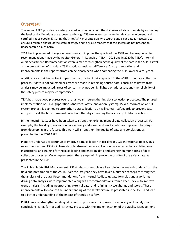## <span id="page-7-0"></span>**Overview**

The annual ASPR provides key safety related information about the documented state of safety by estimating the level of risk Ontarians are exposed to through TSSA-regulated technologies, devices, equipment, and certified trades people. Ensuring that the ASPR presents quality, accurate and clear data is necessary to ensure a reliable picture of the state of safety and to assure readers that the sectors do not present an unacceptable risk of harm.

TSSA has implemented changes in recent years to improve the quality of the ASPR and has responded to recommendations made by the Auditor General in its audit of TSSA in 2018 and in 2020 by TSSA's Internal Audit department. Recommendations were aimed at strengthening the quality of the data in the ASPR as well as the presentation of that data. TSSA's action is making a difference. Clarity in reporting and improvements in the report format can be clearly seen when comparing the ASPR over several years.

A critical area that has a direct impact on the quality of data reported in the ASPR is the data collection process. If data is not collected or errors are made in reporting source data, conclusions drawn from analysis may be impacted, areas of concern may not be highlighted or addressed, and the reliability of the safety picture may be compromised.

TSSA has made good progress over the last year in strengthening data collection processes. The phased implementation of OASIS (Operations Analytics Safety Innovation System), TSSA's Information and IT system project, is planned to strengthen data collection as it will contain safeguards to prevent data entry errors at the time of manual collection; thereby increasing the accuracy of data collection.

In the meantime, steps have been taken to strengthen existing manual data collection processes. For example, the backlog of inspection data is being addressed and work continues to prevent backlogs from developing in the future. This work will strengthen the quality of data and conclusions as presented in the FY20 ASPR.

Plans are underway to continue to improve data collection in fiscal year 2021 in response to previous recommendations. TSSA will take steps to streamline data collection processes, enhance definitions, instructions, and training for those collecting and entering data and strengthen monitoring of data collection processes. Once implemented these steps will improve the quality of the safety data as presented in the ASPR.

The Public Safety Risk Management (PSRM) department plays a key role in the analysis of data from the field and preparation of the ASPR. Over the last year, they have taken a number of steps to strengthen the analysis of the data. Recommendations from Internal Audit to update formulas and algorithms driving data analysis were implemented along with recommendations from a Peer Review to improve trend analysis, including incorporating external data, and refining risk weightings and scores. These improvements will enhance the understanding of the safety picture as presented in the ASPR and lead to a better understanding of the impact of trends on safety.

PSRM has also strengthened its quality control processes to improve the accuracy of its analysis and conclusions. It has formalized its review process with the implementation of the Quality Management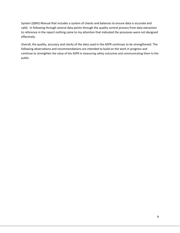System (QMS) Manual that includes a system of checks and balances to ensure data is accurate and valid. In following through several data points through the quality control process from data extraction to reference in the report nothing came to my attention that indicated the processes were not designed effectively.

Overall, the quality, accuracy and clarity of the data used in the ASPR continues to be strengthened. The following observations and recommendations are intended to build on the work in progress and continue to strengthen the value of the ASPR in measuring safety outcomes and communicating them to the public.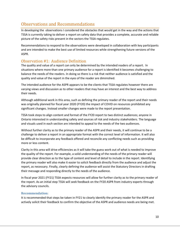# <span id="page-9-0"></span>Observations and Recommendations

In developing the observations I considered the obstacles that would get in the way and the actions that TSSA is currently taking to deliver a report on safety data that provides a complete, accurate and reliable picture of the safety risks present in the sectors the TSSA regulates.

Recommendations to respond to the observations were developed in collaboration with key participants and are intended to make the best use of limited resources while strengthening future versions of the ASPR.

## <span id="page-9-1"></span>Observation #1: Audience Definition

The quality and value of a report can only be determined by the intended readers of a report. In situations where more than one primary audience for a report is identified it becomes challenging to balance the needs of the readers. In doing so there is a risk that neither audience is satisfied and the quality and value of the report in the eyes of the reader are diminished.

The intended audience for the ASPR appears to be the clients that TSSA regulates however there are varying views and discussion as to other readers that may have an interest and the best way to address their needs.

Although additional work in this area, such as defining the primary reader of the report and their needs was originally planned for fiscal year 2020 (FY20) the impact of COVID on resources prohibited any significant changes. Instead smaller changes were made to the report presentation.

TSSA took steps to align content and format of the FY20 report to two distinct audiences; anyone in Ontario interested in understanding safety and sources of risk and industry stakeholders. The language and visuals used in each section are intended to appeal to the needs of the two audiences.

Without further clarity as to the primary reader of the ASPR and their needs, it will continue to be a challenge to deliver a report in an appropriate format with the correct level of information. It will also be difficult to incorporate any feedback offered and reconcile any conflicting needs such as providing more or less content.

Clarity in this area will drive efficiencies as it will take the guess work out of what is needed to improve the quality of the report. For example, a solid understanding of the needs of the primary reader will provide clear direction as to the type of content and level of detail to include in the report. Identifying the primary reader will also make it easier to solicit feedback directly from the audience and adjust the report, as necessary. Finally, clearly defining the audience will assist the Statutory Directors in drafting their message and responding directly to the needs of the audience.

In fiscal year 2021 (FY21) TSSA expects resources will allow for further clarity as to the primary reader of the report. As an initial step TSSA will seek feedback on the FY20 ASPR from industry experts through the advisory councils.

#### <span id="page-9-2"></span>**Recommendation:**

It is recommended that steps be taken in FY21 to clearly identify the primary reader for the ASPR and actively solicit their feedback to confirm the objective of the ASPR and audience needs are being met.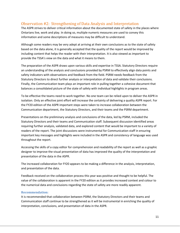## <span id="page-10-0"></span>Observation #2: Strengthening of Data Analysis and Interpretation

The ASPR strives to deliver critical information about the documented state of safety in the places where Ontarians live, work and play. In doing so, multiple numeric measures are used to convey this information and some descriptions of measures may be difficult to understand.

Although some readers may be very adept at arriving at their own conclusions as to the state of safety based on the data alone, it is generally accepted that the quality of the report would be improved by including content that helps the reader with their interpretation. It is also viewed as important to provide the TSSA's view on the data and what it means to them.

The preparation of the ASPR draws upon various skills and expertise in TSSA. Statutory Directors require an understanding of the analysis and conclusions provided by PSRM to effectively align data points and safety indicators with observations and feedback from the field. PSRM needs feedback from the Statutory Directors to direct further analysis or interpretation of data and validate their conclusions. Finally, the Communication team plays an important role in pulling together a cohesive document that balances a consolidated picture of the state of safety with individual highlights in program areas.

To be effective the teams need to work together. No one team can be relied upon to deliver the ASPR in isolation. Only an effective joint effort will increase the certainty of delivering a quality ASPR report. For the FY20 edition of the ASPR important steps were taken to increase collaboration between the Communication department, the Statutory Directors, and their teams and the PSRM department.

Presentations on the preliminary analysis and conclusions of the data, led by PSRM, included the Statutory Directors and their teams and Communication staff. Subsequent discussion identified areas requiring further analysis, validated data, and explored content that would be important to a variety of readers of the report. The joint discussions were instrumental for Communication staff in ensuring important key messages and highlights were included in the ASPR and consistency of language was used throughout the report.

Accessing the skills of a copy editor for comprehension and readability of the report as well as a graphic designer to improve the visual presentation of data has improved the quality of the interpretation and presentation of the data in the ASPR.

The increased collaboration for FY20 appears to be making a difference in the analysis, interpretation, and presentation of the data.

Feedback received on the collaboration process this year was positive and thought to be helpful. The value of the collaboration is apparent in the FY20 edition as it provides increased context and colour to the numerical data and conclusions regarding the state of safety are more readily apparent.

#### <span id="page-10-1"></span>**Recommendation:**

It is recommended that collaboration between PSRM, the Statutory Directors and their teams and Communication staff continue to be strengthened as it will be instrumental in enriching the quality of interpretation, conclusions, and presentation of data in the ASPR.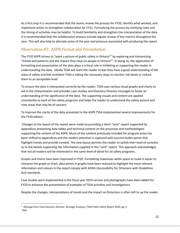As a first step it is recommended that the teams review the process for FY20, identify what worked, and implement action to strengthen collaboration for FY21. Formalizing the process by clarifying roles and the timing of activities may be helpful. To build familiarity and strengthen the interpretation of the data it is recommended that the collaboration process include regular review of key metrics throughout the year. This will also help to alleviate some of the year end pressure associated with producing the report.

### <span id="page-11-0"></span>Observation #3: ASPR Format and Presentation

The FY20 ASPR strives to "paint a picture of public safety in Ontario<sup>1</sup>" by exploring and interpreting "trends and patterns and the impact they have on people in Ontario<sup>2</sup>". In doing so, the application of formatting and presentation of the data plays a critical role in inhibiting or supporting the reader in understanding the data. Ideally TSSA will want the reader to feel they have a good understanding of the state of safety and feel confident TSSA is taking the necessary steps to monitor risk levels or reduce them to an acceptable level.

To ensure the data is interpreted correctly by the reader, TSSA uses various visual graphs and charts to aid in the interpretation and provides case studies and Statutory Director messages to foster an understanding of the significance of the data. The supporting visuals and content are applied consistently to each of the safety programs and helps the reader to understand the safety picture and note areas that may be of concern.

To improve the clarity of the data presented in the ASPR TSSA implemented several improvements for the FY20 edition.

Changes to the layout of the report were made by providing a short "core" report supported by appendices presenting data tables and technical content on the processes and methodologies supporting the content of the ASPR. Much of the content previously included for program areas has been shifted to appendices and the readers attention is captured with succinct bullet points that highlight trends and provide context. The new layout permits the reader to satisfy their level of curiosity as to the details supporting the information supplied in the "core" report. This approach acknowledges that not all readers will be interested in the same level of detail for all safety programs.

Graphs and charts have been improved in FY20. Formatting maximizes white space to make it easier to interpret the graph or chart, data points in graphs have been reduced to highlight the most relevant information and colours in the report comply with AODA (Accessibility for Ontarians with Disabilities Act) standards.

Case studies were implemented in the fiscal year 2019 version and photographs have been added for FY20 to enhance the presentation of examples of TSSA activities and investigations.

Despite the changes, interpretations of trends and the impact on Ontarians is often left to up the reader.

 $^1$  Message from Viola Dessanti, Director, Strategic Analytics, TSSA Public Safety Report 2020, pg. 4 2 Ibid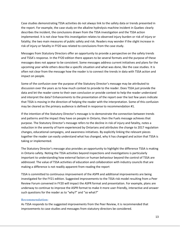Case studies demonstrating TSSA activities do not always link to the safety data or trends presented in the report. For example, the case study on the alkaline hydrolysis machine incident in Quebec clearly describes the incident, the conclusions drawn from the TSSA investigation and the TSSA action implemented. It is not clear how this investigation relates to observed injury burden or risk of injury or fatality; the two main measures of public safety and risk. Readers may wonder if the slight increase in risk of injury or fatality in FY20 was related to conclusions from the case study.

Messages from Statutory Directors offer an opportunity to provide a perspective on the safety trends and TSSA's response. In the FY20 edition there appears to be several formats and the purpose of these messages does not appear to be consistent. Some messages address current initiatives and plans for the upcoming year while others describe a specific situation and what was done, like the case studies. It is often not clear from the message how the reader is to connect the trends in data with TSSA action and impact on people.

Some of the confusion over the purpose of the Statutory Director's message may be attributed to discussion over the years as to how much context to provide to the reader. Does TSSA just provide the data and let the reader come to their own conclusion or provide context to help the reader understand and interpret the data? Enhancements to the presentation of the report over the last few years indicate that TSSA is moving in the direction of helping the reader with the interpretation. Some of this confusion may be cleared as the primary audience is defined in response to recommendation #1.

If the intention of the Statutory Director's message is to demonstrate the connection between trends and patterns and the impact they have on people in Ontario, then the Fuels message achieves that purpose. The Statutory Director's message refers to the decline in risk of injury and fatality, notes a reduction in the severity of harm experienced by Ontarians and attributes the change to 2017 regulation changes, educational campaigns, and awareness initiatives. By explicitly linking the relevant pieces together the reader can easily understand what has changed, why it has changed and action that TSSA is taking or implemented.

The Statutory Director's message also provides an opportunity to highlight the difference TSSA is making in Ontario safety. Noting the TSSA activities beyond inspections and investigations is particularly important to understanding how external factors or human behaviour beyond the control of TSSA are addressed. The value of TSSA activities of education and collaboration with industry councils that are making a difference is not readily apparent from reading the report

TSSA is committed to continuous improvement of the ASPR and additional improvements are being investigated for the FY21 edition. Suggested improvements to the TSSA risk model resulting from a Peer Review Forum convened in FY20 will impact the ASPR format and presentation. For example, plans are underway to continue to improve the ASPR format to make it more user-friendly, interactive and answer such questions for the reader as to "why?" and "so what?"

#### <span id="page-12-0"></span>**Recommendation:**

As TSSA responds to the suggested improvements from the Peer Review, it is recommended that improvements to case studies and messages from statutory directors be considered.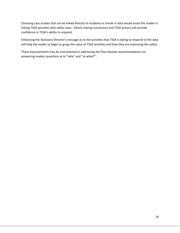Choosing case studies that can be linked directly to incidents or trends in data would assist the reader in linking TSSA activities with safety data. Clearly stating conclusions and TSSA actions will provide confidence in TSSA's ability to respond.

Enhancing the Statutory Director's message as to the activities that TSSA is taking to respond to the data will help the reader to begin to grasp the value of TSSA activities and how they are improving the safety.

These improvements may be instrumental in addressing the Peer Review recommendations on answering readers questions as to "why" and "so what?".